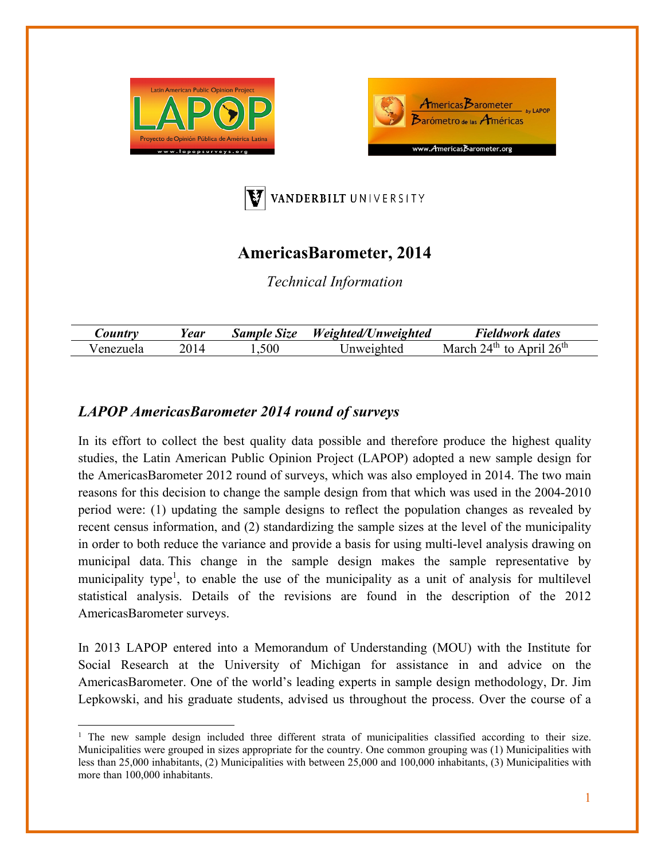





## **AmericasBarometer, 2014**

*Technical Information* 

| Country    | ear | <b>Sample Size</b> | Weighted/Unweighted | Fieldwork dates                                     |
|------------|-----|--------------------|---------------------|-----------------------------------------------------|
| enezuela ' |     | .500               | Jnweighted          | $24^{\text{th}}$ to April $26^{\text{th}}$<br>March |

## *LAPOP AmericasBarometer 2014 round of surveys*

In its effort to collect the best quality data possible and therefore produce the highest quality studies, the Latin American Public Opinion Project (LAPOP) adopted a new sample design for the AmericasBarometer 2012 round of surveys, which was also employed in 2014. The two main reasons for this decision to change the sample design from that which was used in the 2004-2010 period were: (1) updating the sample designs to reflect the population changes as revealed by recent census information, and (2) standardizing the sample sizes at the level of the municipality in order to both reduce the variance and provide a basis for using multi-level analysis drawing on municipal data. This change in the sample design makes the sample representative by municipality type<sup>1</sup>, to enable the use of the municipality as a unit of analysis for multilevel statistical analysis. Details of the revisions are found in the description of the 2012 AmericasBarometer surveys.

In 2013 LAPOP entered into a Memorandum of Understanding (MOU) with the Institute for Social Research at the University of Michigan for assistance in and advice on the AmericasBarometer. One of the world's leading experts in sample design methodology, Dr. Jim Lepkowski, and his graduate students, advised us throughout the process. Over the course of a

<sup>&</sup>lt;sup>1</sup> The new sample design included three different strata of municipalities classified according to their size. Municipalities were grouped in sizes appropriate for the country. One common grouping was (1) Municipalities with less than 25,000 inhabitants, (2) Municipalities with between 25,000 and 100,000 inhabitants, (3) Municipalities with more than 100,000 inhabitants.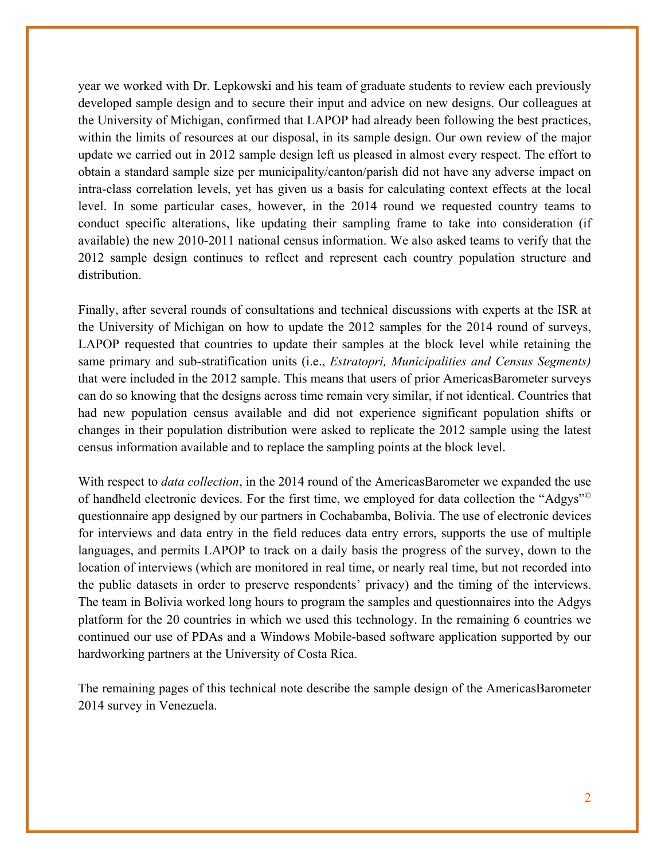year we worked with Dr. Lepkowski and his team of graduate students to review each previously developed sample design and to secure their input and advice on new designs. Our colleagues at the University of Michigan, confirmed that LAPOP had already been following the best practices, within the limits of resources at our disposal, in its sample design. Our own review of the major update we carried out in 2012 sample design left us pleased in almost every respect. The effort to obtain a standard sample size per municipality/canton/parish did not have any adverse impact on intra-class correlation levels, yet has given us a basis for calculating context effects at the local level. In some particular cases, however, in the 2014 round we requested country teams to conduct specific alterations, like updating their sampling frame to take into consideration (if available) the new 2010-2011 national census information. We also asked teams to verify that the 2012 sample design continues to reflect and represent each country population structure and distribution.

Finally, after several rounds of consultations and technical discussions with experts at the ISR at the University of Michigan on how to update the 2012 samples for the 2014 round of surveys, LAPOP requested that countries to update their samples at the block level while retaining the same primary and sub-stratification units (i.e., *Estratopri, Municipalities and Census Segments)*  that were included in the 2012 sample. This means that users of prior AmericasBarometer surveys can do so knowing that the designs across time remain very similar, if not identical. Countries that had new population census available and did not experience significant population shifts or changes in their population distribution were asked to replicate the 2012 sample using the latest census information available and to replace the sampling points at the block level.

With respect to *data collection*, in the 2014 round of the AmericasBarometer we expanded the use of handheld electronic devices. For the first time, we employed for data collection the "Adgys"© questionnaire app designed by our partners in Cochabamba, Bolivia. The use of electronic devices for interviews and data entry in the field reduces data entry errors, supports the use of multiple languages, and permits LAPOP to track on a daily basis the progress of the survey, down to the location of interviews (which are monitored in real time, or nearly real time, but not recorded into the public datasets in order to preserve respondents' privacy) and the timing of the interviews. The team in Bolivia worked long hours to program the samples and questionnaires into the Adgys platform for the 20 countries in which we used this technology. In the remaining 6 countries we continued our use of PDAs and a Windows Mobile-based software application supported by our hardworking partners at the University of Costa Rica.

The remaining pages of this technical note describe the sample design of the AmericasBarometer 2014 survey in Venezuela.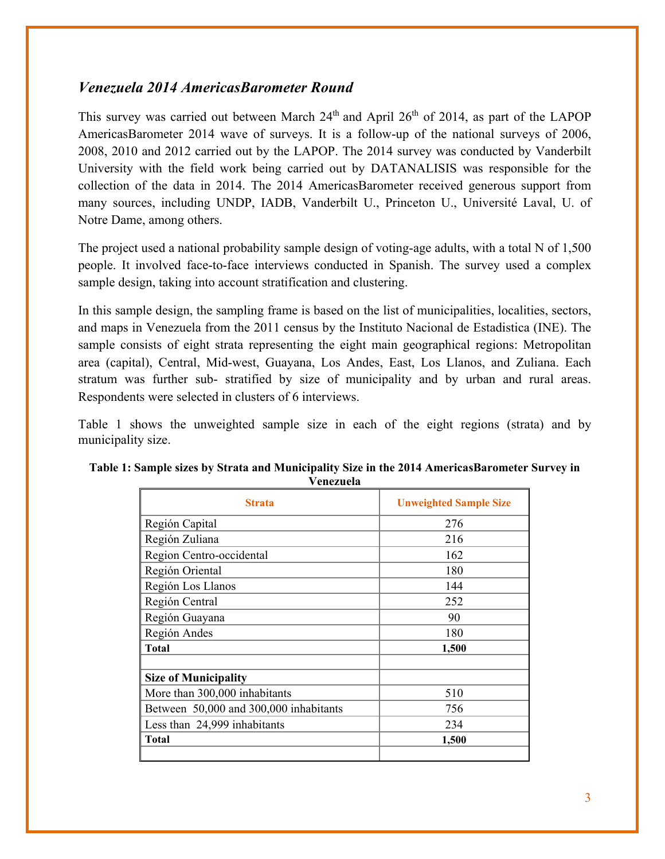## *Venezuela 2014 AmericasBarometer Round*

This survey was carried out between March  $24<sup>th</sup>$  and April  $26<sup>th</sup>$  of 2014, as part of the LAPOP AmericasBarometer 2014 wave of surveys. It is a follow-up of the national surveys of 2006, 2008, 2010 and 2012 carried out by the LAPOP. The 2014 survey was conducted by Vanderbilt University with the field work being carried out by DATANALISIS was responsible for the collection of the data in 2014. The 2014 AmericasBarometer received generous support from many sources, including UNDP, IADB, Vanderbilt U., Princeton U., Université Laval, U. of Notre Dame, among others.

The project used a national probability sample design of voting-age adults, with a total N of 1,500 people. It involved face-to-face interviews conducted in Spanish. The survey used a complex sample design, taking into account stratification and clustering.

In this sample design, the sampling frame is based on the list of municipalities, localities, sectors, and maps in Venezuela from the 2011 census by the Instituto Nacional de Estadistica (INE). The sample consists of eight strata representing the eight main geographical regions: Metropolitan area (capital), Central, Mid-west, Guayana, Los Andes, East, Los Llanos, and Zuliana. Each stratum was further sub- stratified by size of municipality and by urban and rural areas. Respondents were selected in clusters of 6 interviews.

Table 1 shows the unweighted sample size in each of the eight regions (strata) and by municipality size.

| <b>Strata</b>                          | <b>Unweighted Sample Size</b> |
|----------------------------------------|-------------------------------|
| Región Capital                         | 276                           |
| Región Zuliana                         | 216                           |
| Region Centro-occidental               | 162                           |
| Región Oriental                        | 180                           |
| Región Los Llanos                      | 144                           |
| Región Central                         | 252                           |
| Región Guayana                         | 90                            |
| Región Andes                           | 180                           |
| <b>Total</b>                           | 1,500                         |
| <b>Size of Municipality</b>            |                               |
| More than 300,000 inhabitants          | 510                           |
| Between 50,000 and 300,000 inhabitants | 756                           |
| Less than 24,999 inhabitants           | 234                           |
| <b>Total</b>                           | 1,500                         |

| Table 1: Sample sizes by Strata and Municipality Size in the 2014 AmericasBarometer Survey in |
|-----------------------------------------------------------------------------------------------|
| Venezuela                                                                                     |